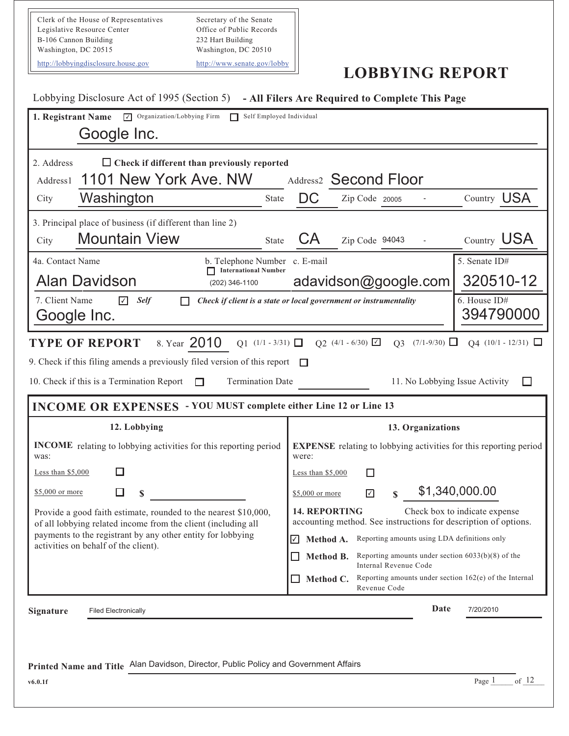Clerk of the House of Representatives Legislative Resource Center B-106 Cannon Building Washington, DC 20515 Secretary of the Senate Office of Public Records 232 Hart Building Washington, DC 20510 http://lobbyingdisclosure.house.gov http://www.senate.gov/lobby

## **LOBBYING REPORT**

| Lobbying Disclosure Act of 1995 (Section 5) - All Filers Are Required to Complete This Page                                      |                                                                                                                          |
|----------------------------------------------------------------------------------------------------------------------------------|--------------------------------------------------------------------------------------------------------------------------|
| 1. Registrant Name<br>$\nabla$ Organization/Lobbying Firm<br>Self Employed Individual                                            |                                                                                                                          |
| Google Inc.                                                                                                                      |                                                                                                                          |
| $\Box$ Check if different than previously reported<br>2. Address                                                                 |                                                                                                                          |
| 1101 New York Ave. NW<br>Address1                                                                                                | Address <sub>2</sub> Second Floor                                                                                        |
| Washington<br>City<br><b>State</b>                                                                                               | Country USA<br>DC<br>Zip Code 20005                                                                                      |
| 3. Principal place of business (if different than line 2)                                                                        |                                                                                                                          |
| <b>Mountain View</b><br>City<br>State                                                                                            | Country USA<br>CА<br>Zip Code 94043                                                                                      |
| 4a. Contact Name<br>b. Telephone Number c. E-mail<br>International Number                                                        | 5. Senate ID#                                                                                                            |
| <b>Alan Davidson</b><br>(202) 346-1100                                                                                           | 320510-12<br>adavidson@google.com                                                                                        |
| 7. Client Name<br>☑<br><b>Self</b><br>Google Inc.                                                                                | 6. House ID#<br>Check if client is a state or local government or instrumentality<br>394790000                           |
| 8. Year 2010<br><b>TYPE OF REPORT</b><br>$Q1$ (1/1 - 3/31) $\Box$                                                                | $Q2$ (4/1 - 6/30) $\boxed{\triangle}$<br>$Q3$ (7/1-9/30) $\Box$<br>$Q4$ (10/1 - 12/31) $\Box$                            |
| 9. Check if this filing amends a previously filed version of this report                                                         |                                                                                                                          |
| 10. Check if this is a Termination Report<br><b>Termination Date</b><br>П                                                        | 11. No Lobbying Issue Activity                                                                                           |
| <b>INCOME OR EXPENSES</b> - YOU MUST complete either Line 12 or Line 13                                                          |                                                                                                                          |
|                                                                                                                                  |                                                                                                                          |
| 12. Lobbying                                                                                                                     | 13. Organizations                                                                                                        |
| <b>INCOME</b> relating to lobbying activities for this reporting period<br>was:                                                  | <b>EXPENSE</b> relating to lobbying activities for this reporting period<br>were:                                        |
| Less than $$5,000$                                                                                                               | Less than $$5,000$                                                                                                       |
| \$5,000 or more<br>\$                                                                                                            | \$1,340,000.00<br>☑<br>\$5,000 or more                                                                                   |
| Provide a good faith estimate, rounded to the nearest \$10,000,<br>of all lobbying related income from the client (including all | Check box to indicate expense<br><b>14. REPORTING</b><br>accounting method. See instructions for description of options. |
| payments to the registrant by any other entity for lobbying                                                                      | Reporting amounts using LDA definitions only<br>$\blacktriangledown$<br>Method A.                                        |
| activities on behalf of the client).                                                                                             | Reporting amounts under section $6033(b)(8)$ of the<br>Method B.<br>$\overline{\phantom{a}}$                             |
|                                                                                                                                  | Internal Revenue Code<br>Reporting amounts under section $162(e)$ of the Internal<br>Method C.<br>Revenue Code           |
| Signature<br><b>Filed Electronically</b>                                                                                         | Date<br>7/20/2010                                                                                                        |
|                                                                                                                                  |                                                                                                                          |
|                                                                                                                                  |                                                                                                                          |
| Printed Name and Title Alan Davidson, Director, Public Policy and Government Affairs                                             | of $12$                                                                                                                  |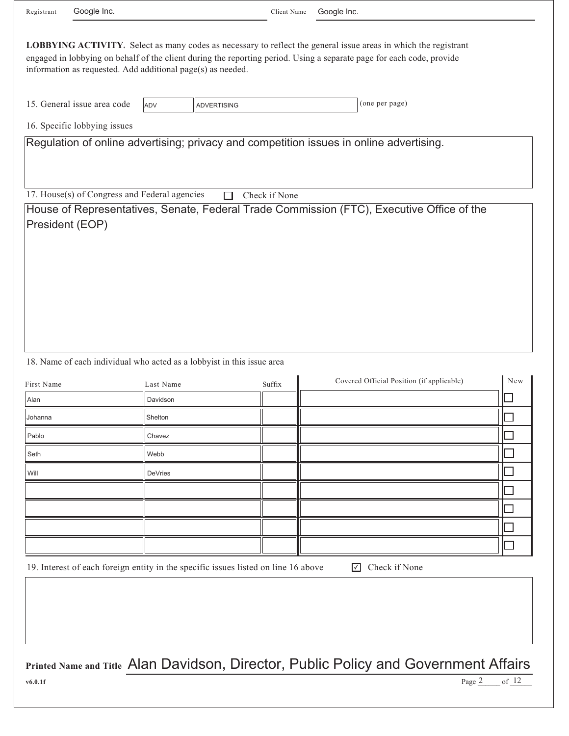| Registrant | Google Inc.                                                 |                |                                                                                    | Client Name   | Google Inc.                                                                                                                                                                                                                                    |
|------------|-------------------------------------------------------------|----------------|------------------------------------------------------------------------------------|---------------|------------------------------------------------------------------------------------------------------------------------------------------------------------------------------------------------------------------------------------------------|
|            |                                                             |                |                                                                                    |               |                                                                                                                                                                                                                                                |
|            | information as requested. Add additional page(s) as needed. |                |                                                                                    |               | <b>LOBBYING ACTIVITY</b> Select as many codes as necessary to reflect the general issue areas in which the registrant<br>engaged in lobbying on behalf of the client during the reporting period. Using a separate page for each code, provide |
|            | 15. General issue area code                                 | ADV            | <b>ADVERTISING</b>                                                                 |               | (one per page)                                                                                                                                                                                                                                 |
|            | 16. Specific lobbying issues                                |                |                                                                                    |               |                                                                                                                                                                                                                                                |
|            |                                                             |                |                                                                                    |               | Regulation of online advertising; privacy and competition issues in online advertising.                                                                                                                                                        |
|            |                                                             |                |                                                                                    |               |                                                                                                                                                                                                                                                |
|            | 17. House(s) of Congress and Federal agencies               |                |                                                                                    | Check if None |                                                                                                                                                                                                                                                |
|            |                                                             |                |                                                                                    |               | House of Representatives, Senate, Federal Trade Commission (FTC), Executive Office of the                                                                                                                                                      |
|            | President (EOP)                                             |                |                                                                                    |               |                                                                                                                                                                                                                                                |
|            |                                                             |                |                                                                                    |               |                                                                                                                                                                                                                                                |
|            |                                                             |                |                                                                                    |               |                                                                                                                                                                                                                                                |
|            |                                                             |                |                                                                                    |               |                                                                                                                                                                                                                                                |
|            |                                                             |                |                                                                                    |               |                                                                                                                                                                                                                                                |
|            |                                                             |                |                                                                                    |               |                                                                                                                                                                                                                                                |
|            |                                                             |                |                                                                                    |               |                                                                                                                                                                                                                                                |
|            |                                                             |                |                                                                                    |               |                                                                                                                                                                                                                                                |
|            |                                                             |                |                                                                                    |               |                                                                                                                                                                                                                                                |
|            |                                                             |                | 18. Name of each individual who acted as a lobbyist in this issue area             |               |                                                                                                                                                                                                                                                |
| First Name |                                                             | Last Name      |                                                                                    | Suffix        | Covered Official Position (if applicable)<br>New                                                                                                                                                                                               |
| Alan       |                                                             | Davidson       |                                                                                    |               |                                                                                                                                                                                                                                                |
| Johanna    |                                                             | Shelton        |                                                                                    |               |                                                                                                                                                                                                                                                |
| Pablo      |                                                             | Chavez         |                                                                                    |               |                                                                                                                                                                                                                                                |
| Seth       |                                                             | Webb           |                                                                                    |               |                                                                                                                                                                                                                                                |
| Will       |                                                             | <b>DeVries</b> |                                                                                    |               |                                                                                                                                                                                                                                                |
|            |                                                             |                |                                                                                    |               |                                                                                                                                                                                                                                                |
|            |                                                             |                |                                                                                    |               |                                                                                                                                                                                                                                                |
|            |                                                             |                |                                                                                    |               |                                                                                                                                                                                                                                                |
|            |                                                             |                |                                                                                    |               |                                                                                                                                                                                                                                                |
|            |                                                             |                | 19. Interest of each foreign entity in the specific issues listed on line 16 above |               | Check if None<br>$\sqrt{ }$                                                                                                                                                                                                                    |
|            |                                                             |                |                                                                                    |               |                                                                                                                                                                                                                                                |
|            |                                                             |                |                                                                                    |               |                                                                                                                                                                                                                                                |
|            |                                                             |                |                                                                                    |               |                                                                                                                                                                                                                                                |
|            |                                                             |                |                                                                                    |               |                                                                                                                                                                                                                                                |
|            |                                                             |                |                                                                                    |               |                                                                                                                                                                                                                                                |
|            |                                                             |                |                                                                                    |               | <b>Printed Name and Title Alan Davidson, Director, Public Policy and Government Affairs</b>                                                                                                                                                    |
| v6.0.1f    |                                                             |                |                                                                                    |               | Page 2<br>of $12$                                                                                                                                                                                                                              |
|            |                                                             |                |                                                                                    |               |                                                                                                                                                                                                                                                |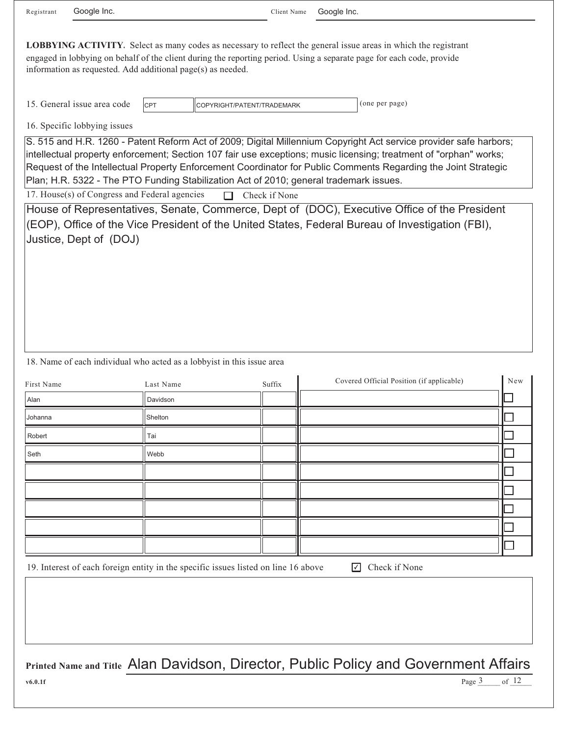Registrant Google Inc. The Client Name Client Name

Google Inc.

**LOBBYING ACTIVITY.** Select as many codes as necessary to reflect the general issue areas in which the registrant engaged in lobbying on behalf of the client during the reporting period. Using a separate page for each code, provide information as requested. Add additional page(s) as needed.

15. General issue area code  $\vert$  CPT  $\vert$  COPYRIGHT/PATENT/TRADEMARK (one per page)

16. Specific lobbying issues

S. 515 and H.R. 1260 - Patent Reform Act of 2009; Digital Millennium Copyright Act service provider safe harbors; intellectual property enforcement; Section 107 fair use exceptions; music licensing; treatment of "orphan" works; Request of the Intellectual Property Enforcement Coordinator for Public Comments Regarding the Joint Strategic Plan; H.R. 5322 - The PTO Funding Stabilization Act of 2010; general trademark issues.

17. House(s) of Congress and Federal agencies  $\Box$  Check if None

 $|_{\rm CPT}$ 

House of Representatives, Senate, Commerce, Dept of (DOC), Executive Office of the President (EOP), Office of the Vice President of the United States, Federal Bureau of Investigation (FBI), Justice, Dept of (DOJ)

18. Name of each individual who acted as a lobbyist in this issue area

| First Name | Last Name | Suffix | Covered Official Position (if applicable) | New |
|------------|-----------|--------|-------------------------------------------|-----|
| Alan       | Davidson  |        |                                           |     |
| Johanna    | Shelton   |        |                                           |     |
| Robert     | Tai       |        |                                           |     |
| Seth       | Webb      |        |                                           |     |
|            |           |        |                                           |     |
|            |           |        |                                           |     |
|            |           |        |                                           |     |
|            |           |        |                                           |     |
|            |           |        |                                           |     |

19. Interest of each foreign entity in the specific issues listed on line 16 above

**□** Check if None

Page  $3$  of  $12$ 

**Printed Name and Title** Alan Davidson, Director, Public Policy and Government Affairs

**v6.0.1f** Page 3 of 12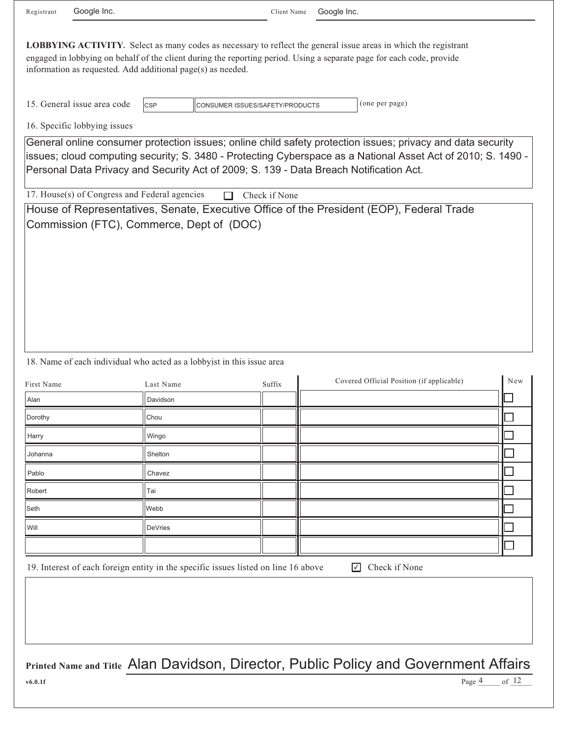Registrant Google Inc. The Client Name Client Name

Google Inc.

| <b>LOBBYING ACTIVITY.</b> Select as many codes as necessary to reflect the general issue areas in which the registrant |
|------------------------------------------------------------------------------------------------------------------------|
| engaged in lobbying on behalf of the client during the reporting period. Using a separate page for each code, provide  |
| information as requested. Add additional page(s) as needed.                                                            |

15. General issue area code (one per page) CONSUMER ISSUES/SAFETY/PRODUCTS

16. Specific lobbying issues

General online consumer protection issues; online child safety protection issues; privacy and data security issues; cloud computing security; S. 3480 - Protecting Cyberspace as a National Asset Act of 2010; S. 1490 - Personal Data Privacy and Security Act of 2009; S. 139 - Data Breach Notification Act.

17. House(s) of Congress and Federal agencies  $\Box$  Check if None

 $|_{\mathsf{CSP}}$ 

House of Representatives, Senate, Executive Office of the President (EOP), Federal Trade Commission (FTC), Commerce, Dept of (DOC)

## 18. Name of each individual who acted as a lobbyist in this issue area

| First Name | Last Name | Suffix | Covered Official Position (if applicable) | $\operatorname{New}$ |
|------------|-----------|--------|-------------------------------------------|----------------------|
| Alan       | Davidson  |        |                                           |                      |
| Dorothy    | Chou      |        |                                           |                      |
| Harry      | Wingo     |        |                                           |                      |
| Johanna    | Shelton   |        |                                           |                      |
| Pablo      | Chavez    |        |                                           |                      |
| Robert     | Tai       |        |                                           |                      |
| Seth       | Webb      |        |                                           |                      |
| Will       | DeVries   |        |                                           |                      |
|            |           |        |                                           |                      |

19. Interest of each foreign entity in the specific issues listed on line 16 above

**▽** Check if None

of 12

Page  $\frac{4}{2}$  of  $\frac{12}{2}$ 

**Printed Name and Title** Alan Davidson, Director, Public Policy and Government Affairs

**v6.0.1f**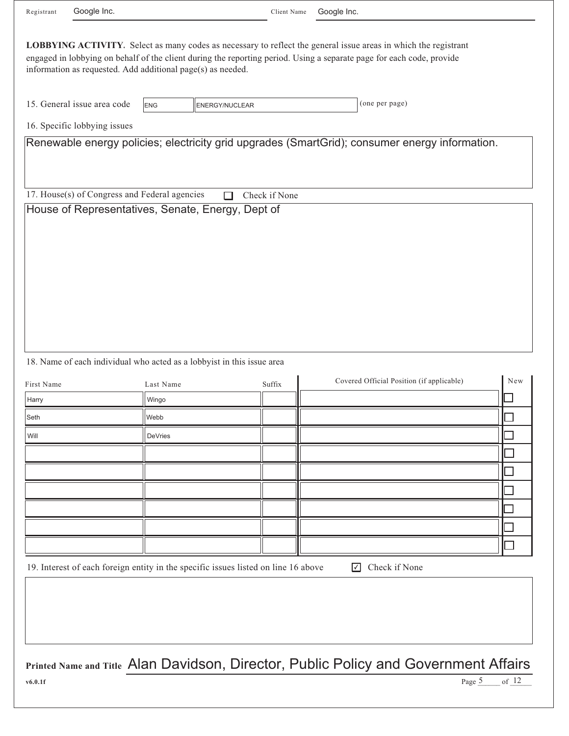| Registrant          | Google Inc.                                                 |                    |                                                                                    | Client Name   | Google Inc.                                                                                                                                                                                                                              |
|---------------------|-------------------------------------------------------------|--------------------|------------------------------------------------------------------------------------|---------------|------------------------------------------------------------------------------------------------------------------------------------------------------------------------------------------------------------------------------------------|
|                     |                                                             |                    |                                                                                    |               |                                                                                                                                                                                                                                          |
|                     | information as requested. Add additional page(s) as needed. |                    |                                                                                    |               | LOBBYING ACTIVITY. Select as many codes as necessary to reflect the general issue areas in which the registrant<br>engaged in lobbying on behalf of the client during the reporting period. Using a separate page for each code, provide |
|                     | 15. General issue area code                                 | <b>ENG</b>         | <b>ENERGY/NUCLEAR</b>                                                              |               | (one per page)                                                                                                                                                                                                                           |
|                     | 16. Specific lobbying issues                                |                    |                                                                                    |               |                                                                                                                                                                                                                                          |
|                     |                                                             |                    |                                                                                    |               | Renewable energy policies; electricity grid upgrades (SmartGrid); consumer energy information.                                                                                                                                           |
|                     | 17. House(s) of Congress and Federal agencies               |                    | П                                                                                  | Check if None |                                                                                                                                                                                                                                          |
|                     |                                                             |                    | House of Representatives, Senate, Energy, Dept of                                  |               |                                                                                                                                                                                                                                          |
|                     |                                                             |                    | 18. Name of each individual who acted as a lobbyist in this issue area             |               | Covered Official Position (if applicable)<br>New                                                                                                                                                                                         |
| First Name<br>Harry |                                                             | Last Name<br>Wingo |                                                                                    | Suffix        |                                                                                                                                                                                                                                          |
| Seth                |                                                             | Webb               |                                                                                    |               |                                                                                                                                                                                                                                          |
| Will                |                                                             | <b>DeVries</b>     |                                                                                    |               |                                                                                                                                                                                                                                          |
|                     |                                                             |                    |                                                                                    |               |                                                                                                                                                                                                                                          |
|                     |                                                             |                    |                                                                                    |               |                                                                                                                                                                                                                                          |
|                     |                                                             |                    |                                                                                    |               |                                                                                                                                                                                                                                          |
|                     |                                                             |                    |                                                                                    |               |                                                                                                                                                                                                                                          |
|                     |                                                             |                    |                                                                                    |               |                                                                                                                                                                                                                                          |
|                     |                                                             |                    |                                                                                    |               |                                                                                                                                                                                                                                          |
|                     |                                                             |                    |                                                                                    |               |                                                                                                                                                                                                                                          |
|                     |                                                             |                    | 19. Interest of each foreign entity in the specific issues listed on line 16 above |               | $\sqrt{ }$<br>Check if None                                                                                                                                                                                                              |
|                     |                                                             |                    |                                                                                    |               |                                                                                                                                                                                                                                          |
|                     |                                                             |                    |                                                                                    |               |                                                                                                                                                                                                                                          |
|                     |                                                             |                    |                                                                                    |               |                                                                                                                                                                                                                                          |
|                     |                                                             |                    |                                                                                    |               | Printed Name and Title Alan Davidson, Director, Public Policy and Government Affairs                                                                                                                                                     |
| v6.0.1f             |                                                             |                    |                                                                                    |               | of $12$<br>Page 5                                                                                                                                                                                                                        |
|                     |                                                             |                    |                                                                                    |               |                                                                                                                                                                                                                                          |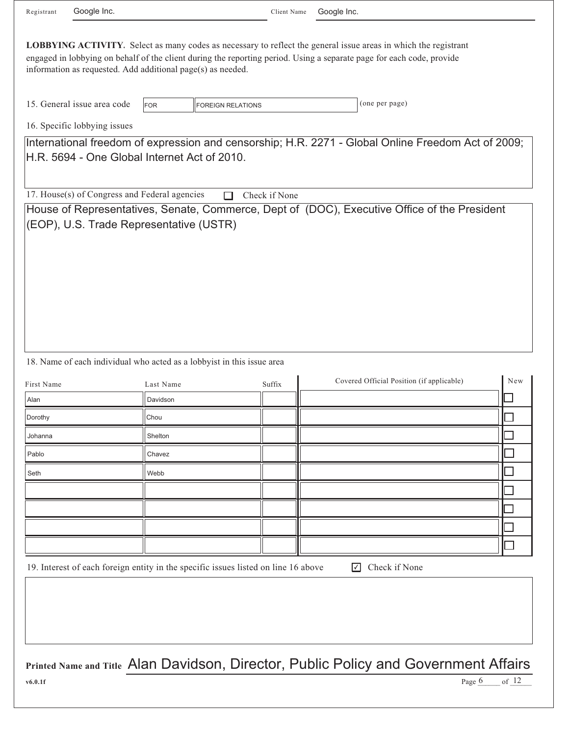| Registrant | Google Inc.                                                 |            |                          | Client Name   | Google Inc. |                                                                                                                                                                                                                                                 |
|------------|-------------------------------------------------------------|------------|--------------------------|---------------|-------------|-------------------------------------------------------------------------------------------------------------------------------------------------------------------------------------------------------------------------------------------------|
|            | information as requested. Add additional page(s) as needed. |            |                          |               |             | <b>LOBBYING ACTIVITY.</b> Select as many codes as necessary to reflect the general issue areas in which the registrant<br>engaged in lobbying on behalf of the client during the reporting period. Using a separate page for each code, provide |
|            | 15. General issue area code                                 | <b>FOR</b> | <b>FOREIGN RELATIONS</b> |               |             | (one per page)                                                                                                                                                                                                                                  |
|            | 16. Specific lobbying issues                                |            |                          |               |             |                                                                                                                                                                                                                                                 |
|            | H.R. 5694 - One Global Internet Act of 2010.                |            |                          |               |             | International freedom of expression and censorship; H.R. 2271 - Global Online Freedom Act of 2009;                                                                                                                                              |
|            | 17. House(s) of Congress and Federal agencies               |            |                          | Check if None |             |                                                                                                                                                                                                                                                 |
|            |                                                             |            |                          |               |             | House of Representatives, Senate, Commerce, Dept of (DOC), Executive Office of the President                                                                                                                                                    |
|            | (EOP), U.S. Trade Representative (USTR)                     |            |                          |               |             |                                                                                                                                                                                                                                                 |
|            |                                                             |            |                          |               |             |                                                                                                                                                                                                                                                 |

## 18. Name of each individual who acted as a lobbyist in this issue area

| First Name | Last Name | Suffix | Covered Official Position (if applicable) | New |
|------------|-----------|--------|-------------------------------------------|-----|
| Alan       | Davidson  |        |                                           |     |
| Dorothy    | Chou      |        |                                           |     |
| Johanna    | Shelton   |        |                                           |     |
| Pablo      | Chavez    |        |                                           |     |
| Seth       | Webb      |        |                                           |     |
|            |           |        |                                           |     |
|            |           |        |                                           |     |
|            |           |        |                                           |     |
|            |           |        |                                           |     |

19. Interest of each foreign entity in the specific issues listed on line 16 above

○ Check if None

of 12

Page  $6$ 

**Printed Name and Title** Alan Davidson, Director, Public Policy and Government Affairs

**v6.0.1f**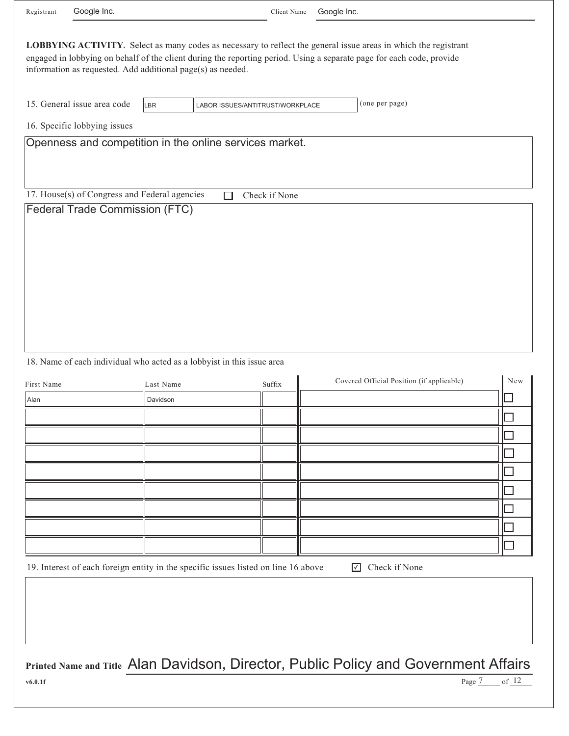| Registrant | Google Inc.                                                                     |                                                                                     | Client Name                      | Google Inc.                                                                                                                                                                                                                              |
|------------|---------------------------------------------------------------------------------|-------------------------------------------------------------------------------------|----------------------------------|------------------------------------------------------------------------------------------------------------------------------------------------------------------------------------------------------------------------------------------|
|            |                                                                                 | information as requested. Add additional page(s) as needed.                         |                                  | LOBBYING ACTIVITY. Select as many codes as necessary to reflect the general issue areas in which the registrant<br>engaged in lobbying on behalf of the client during the reporting period. Using a separate page for each code, provide |
|            | 15. General issue area code<br>16. Specific lobbying issues                     | <b>LBR</b>                                                                          | LABOR ISSUES/ANTITRUST/WORKPLACE | (one per page)                                                                                                                                                                                                                           |
|            |                                                                                 | Openness and competition in the online services market.                             |                                  |                                                                                                                                                                                                                                          |
|            | 17. House(s) of Congress and Federal agencies<br>Federal Trade Commission (FTC) | П                                                                                   | Check if None                    |                                                                                                                                                                                                                                          |
| First Name |                                                                                 | 18. Name of each individual who acted as a lobbyist in this issue area<br>Last Name | Suffix                           | Covered Official Position (if applicable)<br>New                                                                                                                                                                                         |
| Alan       |                                                                                 | Davidson                                                                            |                                  |                                                                                                                                                                                                                                          |
|            |                                                                                 |                                                                                     |                                  |                                                                                                                                                                                                                                          |
|            |                                                                                 |                                                                                     |                                  |                                                                                                                                                                                                                                          |
|            |                                                                                 |                                                                                     |                                  |                                                                                                                                                                                                                                          |
|            |                                                                                 |                                                                                     |                                  |                                                                                                                                                                                                                                          |
|            |                                                                                 |                                                                                     |                                  |                                                                                                                                                                                                                                          |
|            |                                                                                 |                                                                                     |                                  |                                                                                                                                                                                                                                          |
|            |                                                                                 |                                                                                     |                                  |                                                                                                                                                                                                                                          |
|            |                                                                                 |                                                                                     |                                  |                                                                                                                                                                                                                                          |
|            |                                                                                 | 19. Interest of each foreign entity in the specific issues listed on line 16 above  |                                  | Check if None<br>$\sqrt{ }$                                                                                                                                                                                                              |
|            |                                                                                 |                                                                                     |                                  |                                                                                                                                                                                                                                          |
| v6.0.1f    |                                                                                 |                                                                                     |                                  | Printed Name and Title Alan Davidson, Director, Public Policy and Government Affairs<br>of $12$<br>Page 7                                                                                                                                |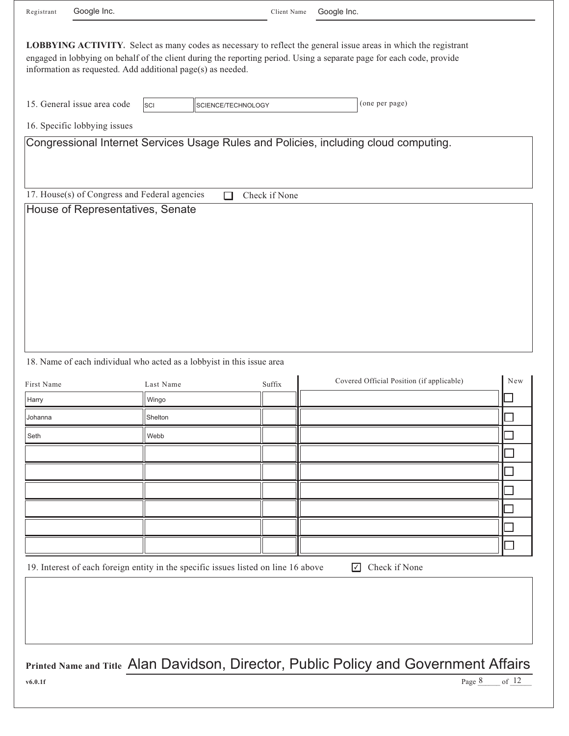|                                        | Google Inc.                                                                       |                    |                    | Client Name | Google Inc.                                                                                                                                                                                                                              |     |
|----------------------------------------|-----------------------------------------------------------------------------------|--------------------|--------------------|-------------|------------------------------------------------------------------------------------------------------------------------------------------------------------------------------------------------------------------------------------------|-----|
|                                        | information as requested. Add additional page(s) as needed.                       |                    |                    |             | LOBBYING ACTIVITY. Select as many codes as necessary to reflect the general issue areas in which the registrant<br>engaged in lobbying on behalf of the client during the reporting period. Using a separate page for each code, provide |     |
|                                        | 15. General issue area code                                                       | SCI                | SCIENCE/TECHNOLOGY |             | (one per page)                                                                                                                                                                                                                           |     |
|                                        | 16. Specific lobbying issues                                                      |                    |                    |             |                                                                                                                                                                                                                                          |     |
|                                        |                                                                                   |                    |                    |             | Congressional Internet Services Usage Rules and Policies, including cloud computing.                                                                                                                                                     |     |
|                                        | 17. House(s) of Congress and Federal agencies<br>House of Representatives, Senate |                    | Check if None<br>П |             |                                                                                                                                                                                                                                          |     |
|                                        |                                                                                   |                    |                    |             |                                                                                                                                                                                                                                          |     |
|                                        | 18. Name of each individual who acted as a lobbyist in this issue area            | Last Name<br>Wingo | Suffix             |             | Covered Official Position (if applicable)                                                                                                                                                                                                |     |
|                                        |                                                                                   | Shelton            |                    |             |                                                                                                                                                                                                                                          |     |
| First Name<br>Harry<br>Johanna<br>Seth |                                                                                   | Webb               |                    |             |                                                                                                                                                                                                                                          | New |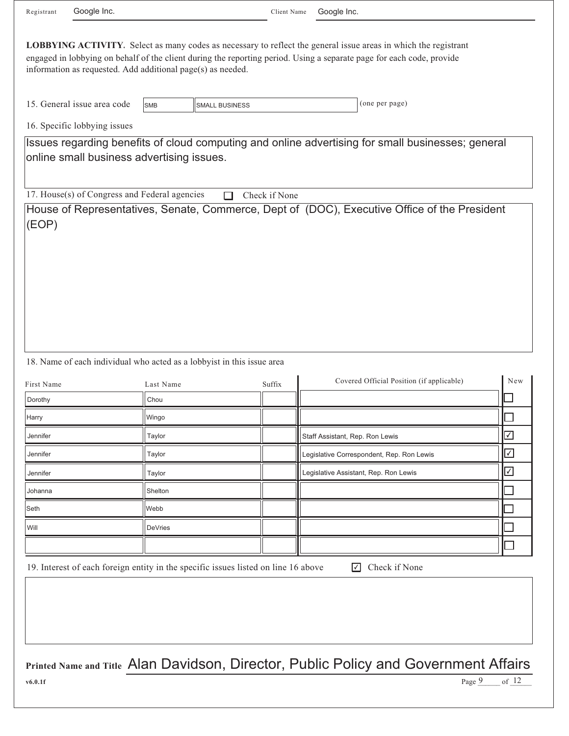| 15. General issue area code                             | <b>SMB</b>                                                             | <b>SMALL BUSINESS</b> | (one per page)                                                                                    |                                       |
|---------------------------------------------------------|------------------------------------------------------------------------|-----------------------|---------------------------------------------------------------------------------------------------|---------------------------------------|
| 16. Specific lobbying issues                            |                                                                        |                       |                                                                                                   |                                       |
|                                                         | online small business advertising issues.                              |                       | Issues regarding benefits of cloud computing and online advertising for small businesses; general |                                       |
|                                                         | 17. House(s) of Congress and Federal agencies                          | Check if None         |                                                                                                   |                                       |
|                                                         |                                                                        |                       |                                                                                                   |                                       |
|                                                         | 18. Name of each individual who acted as a lobbyist in this issue area |                       |                                                                                                   |                                       |
| First Name                                              | Last Name                                                              | Suffix                | Covered Official Position (if applicable)                                                         |                                       |
|                                                         | Chou                                                                   |                       |                                                                                                   |                                       |
|                                                         | Wingo                                                                  |                       |                                                                                                   |                                       |
|                                                         | Taylor                                                                 |                       | Staff Assistant, Rep. Ron Lewis                                                                   |                                       |
| Jennifer                                                | Taylor                                                                 |                       | Legislative Correspondent, Rep. Ron Lewis                                                         |                                       |
| Jennifer                                                | Taylor                                                                 |                       | Legislative Assistant, Rep. Ron Lewis                                                             |                                       |
|                                                         | Shelton                                                                |                       |                                                                                                   |                                       |
|                                                         | Webb                                                                   |                       |                                                                                                   |                                       |
|                                                         | DeVries                                                                |                       |                                                                                                   | $\boxdot$<br>$\sqrt{2}$<br>$\sqrt{2}$ |
| Dorothy<br>Harry<br>Jennifer<br>Johanna<br>Seth<br>Will |                                                                        |                       |                                                                                                   | $\mathcal{L}_{\mathcal{A}}$           |

**v6.0.1f**

Page  $9$  of  $12$ Page 9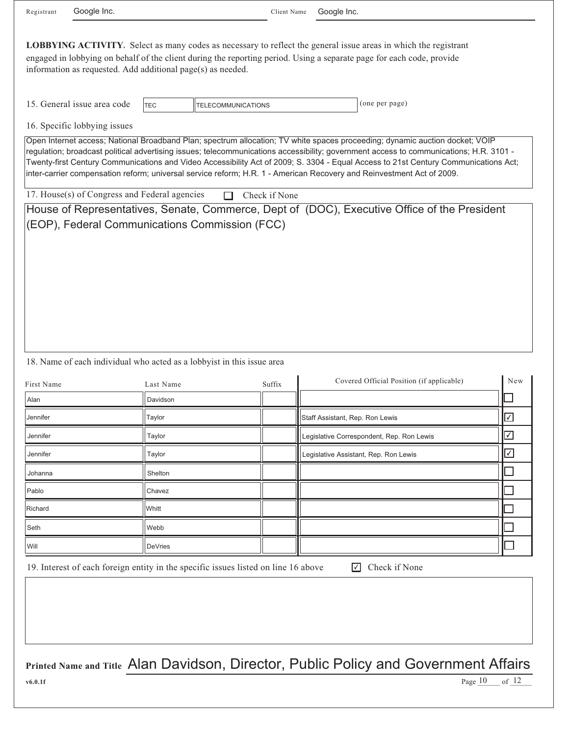| Registrant | Googl |
|------------|-------|
|------------|-------|

le Inc.

Client Name Google Inc.

| <b>LOBBYING ACTIVITY.</b> Select as many codes as necessary to reflect the general issue areas in which the registrant<br>engaged in lobbying on behalf of the client during the reporting period. Using a separate page for each code, provide<br>information as requested. Add additional page(s) as needed. |            |                           |                |  |  |  |  |  |  |  |
|----------------------------------------------------------------------------------------------------------------------------------------------------------------------------------------------------------------------------------------------------------------------------------------------------------------|------------|---------------------------|----------------|--|--|--|--|--|--|--|
| 15. General issue area code                                                                                                                                                                                                                                                                                    | <b>TEC</b> | <b>TELECOMMUNICATIONS</b> | (one per page) |  |  |  |  |  |  |  |
| 16. Specific lobbying issues                                                                                                                                                                                                                                                                                   |            |                           |                |  |  |  |  |  |  |  |

Open Internet access; National Broadband Plan; spectrum allocation; TV white spaces proceeding; dynamic auction docket; VOIP regulation; broadcast political advertising issues; telecommunications accessibility; government access to communications; H.R. 3101 - Twenty-first Century Communications and Video Accessibility Act of 2009; S. 3304 - Equal Access to 21st Century Communications Act; inter-carrier compensation reform; universal service reform; H.R. 1 - American Recovery and Reinvestment Act of 2009.

17. House(s) of Congress and Federal agencies  $\Box$  Check if None

House of Representatives, Senate, Commerce, Dept of (DOC), Executive Office of the President (EOP), Federal Communications Commission (FCC)

## 18. Name of each individual who acted as a lobbyist in this issue area

| First Name | Last Name      | Suffix | Covered Official Position (if applicable) | New            |
|------------|----------------|--------|-------------------------------------------|----------------|
| Alan       | Davidson       |        |                                           |                |
| Jennifer   | Taylor         |        | Staff Assistant, Rep. Ron Lewis           | $ \checkmark $ |
| Jennifer   | Taylor         |        | Legislative Correspondent, Rep. Ron Lewis |                |
| Jennifer   | Taylor         |        | Legislative Assistant, Rep. Ron Lewis     | $\checkmark$   |
| Johanna    | Shelton        |        |                                           |                |
| Pablo      | Chavez         |        |                                           |                |
| Richard    | Whitt          |        |                                           |                |
| Seth       | Webb           |        |                                           |                |
| Will       | <b>DeVries</b> |        |                                           |                |

19. Interest of each foreign entity in the specific issues listed on line 16 above

**▽** Check if None

of  $12$ 

Page  $10$  of  $12$ 

**Printed Name and Title** Alan Davidson, Director, Public Policy and Government Affairs

**v6.0.1f**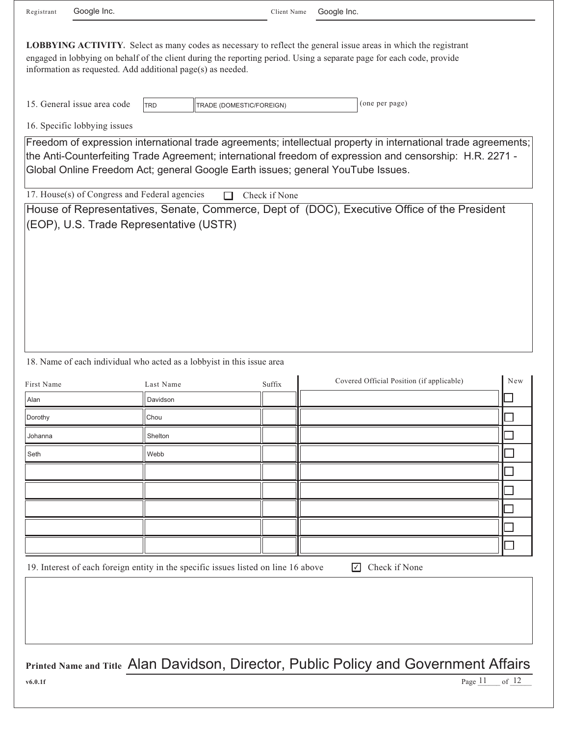| Google Inc.<br>Registrant                                                                                                                                                   |            | Client Name              | Google Inc. |                                                                                                                                                                                                                                                  |     |
|-----------------------------------------------------------------------------------------------------------------------------------------------------------------------------|------------|--------------------------|-------------|--------------------------------------------------------------------------------------------------------------------------------------------------------------------------------------------------------------------------------------------------|-----|
| information as requested. Add additional page(s) as needed.                                                                                                                 |            |                          |             | <b>LOBBYING ACTIVITY</b> . Select as many codes as necessary to reflect the general issue areas in which the registrant<br>engaged in lobbying on behalf of the client during the reporting period. Using a separate page for each code, provide |     |
| 15. General issue area code                                                                                                                                                 | <b>TRD</b> | TRADE (DOMESTIC/FOREIGN) |             | (one per page)                                                                                                                                                                                                                                   |     |
| 16. Specific lobbying issues                                                                                                                                                |            |                          |             |                                                                                                                                                                                                                                                  |     |
| Global Online Freedom Act; general Google Earth issues; general YouTube Issues.<br>17. House(s) of Congress and Federal agencies<br>(EOP), U.S. Trade Representative (USTR) |            | Check if None<br>П       |             | House of Representatives, Senate, Commerce, Dept of (DOC), Executive Office of the President                                                                                                                                                     |     |
| 18. Name of each individual who acted as a lobbyist in this issue area                                                                                                      |            |                          |             |                                                                                                                                                                                                                                                  |     |
| First Name                                                                                                                                                                  | Last Name  | Suffix                   |             | Covered Official Position (if applicable)                                                                                                                                                                                                        | New |
| Alan                                                                                                                                                                        | Davidson   |                          |             |                                                                                                                                                                                                                                                  |     |
| Dorothy                                                                                                                                                                     | Chou       |                          |             |                                                                                                                                                                                                                                                  |     |
| Johanna                                                                                                                                                                     | Shelton    |                          |             |                                                                                                                                                                                                                                                  |     |
| Seth                                                                                                                                                                        | Webb       |                          |             |                                                                                                                                                                                                                                                  |     |
|                                                                                                                                                                             |            |                          |             |                                                                                                                                                                                                                                                  |     |
|                                                                                                                                                                             |            |                          |             |                                                                                                                                                                                                                                                  |     |
|                                                                                                                                                                             |            |                          |             |                                                                                                                                                                                                                                                  |     |
|                                                                                                                                                                             |            |                          |             |                                                                                                                                                                                                                                                  |     |
|                                                                                                                                                                             |            |                          |             |                                                                                                                                                                                                                                                  |     |
| 19. Interest of each foreign entity in the specific issues listed on line 16 above                                                                                          |            |                          |             | Check if None<br>☑                                                                                                                                                                                                                               |     |

**Printed Name and Title** Alan Davidson, Director, Public Policy and Government Affairs Page  $\frac{11}{2}$  of  $\frac{12}{2}$ 

**v6.0.1f** Page  $11$  of  $12$